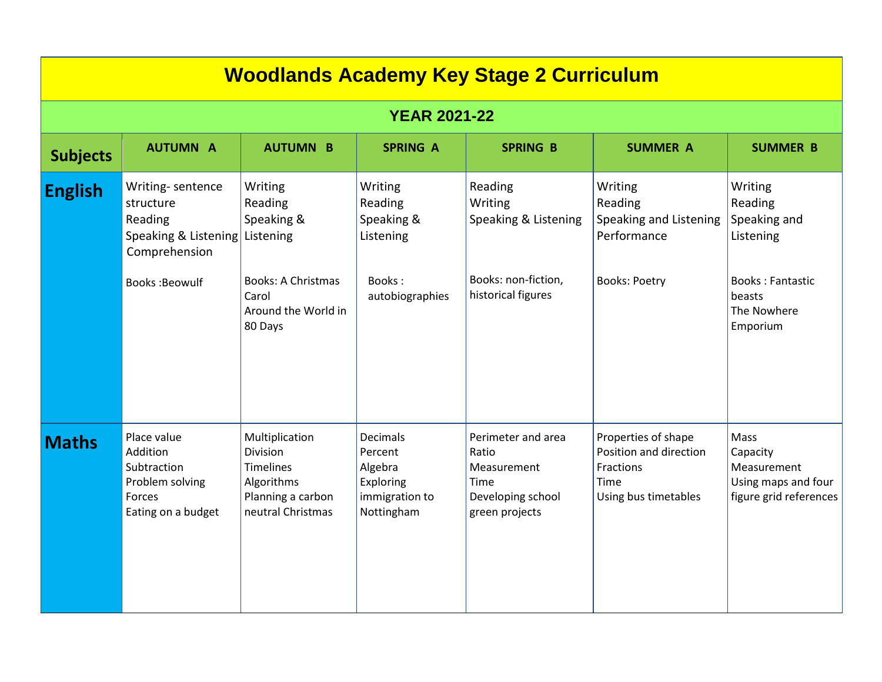| <b>Woodlands Academy Key Stage 2 Curriculum</b> |                                                                                                                      |                                                                                                          |                                                                                    |                                                                                           |                                                                                            |                                                                                                                 |  |
|-------------------------------------------------|----------------------------------------------------------------------------------------------------------------------|----------------------------------------------------------------------------------------------------------|------------------------------------------------------------------------------------|-------------------------------------------------------------------------------------------|--------------------------------------------------------------------------------------------|-----------------------------------------------------------------------------------------------------------------|--|
| <b>YEAR 2021-22</b>                             |                                                                                                                      |                                                                                                          |                                                                                    |                                                                                           |                                                                                            |                                                                                                                 |  |
| <b>Subjects</b>                                 | <b>AUTUMN A</b>                                                                                                      | <b>AUTUMN B</b>                                                                                          | <b>SPRING A</b>                                                                    | <b>SPRING B</b>                                                                           | <b>SUMMER A</b>                                                                            | <b>SUMMER B</b>                                                                                                 |  |
| <b>English</b>                                  | Writing-sentence<br>structure<br>Reading<br>Speaking & Listening Listening<br>Comprehension<br><b>Books: Beowulf</b> | Writing<br>Reading<br>Speaking &<br><b>Books: A Christmas</b><br>Carol<br>Around the World in<br>80 Days | Writing<br>Reading<br>Speaking &<br>Listening<br>Books:<br>autobiographies         | Reading<br>Writing<br>Speaking & Listening<br>Books: non-fiction,<br>historical figures   | Writing<br>Reading<br>Speaking and Listening<br>Performance<br><b>Books: Poetry</b>        | Writing<br>Reading<br>Speaking and<br>Listening<br><b>Books: Fantastic</b><br>beasts<br>The Nowhere<br>Emporium |  |
| <b>Maths</b>                                    | Place value<br>Addition<br>Subtraction<br>Problem solving<br>Forces<br>Eating on a budget                            | Multiplication<br><b>Division</b><br>Timelines<br>Algorithms<br>Planning a carbon<br>neutral Christmas   | <b>Decimals</b><br>Percent<br>Algebra<br>Exploring<br>immigration to<br>Nottingham | Perimeter and area<br>Ratio<br>Measurement<br>Time<br>Developing school<br>green projects | Properties of shape<br>Position and direction<br>Fractions<br>Time<br>Using bus timetables | Mass<br>Capacity<br>Measurement<br>Using maps and four<br>figure grid references                                |  |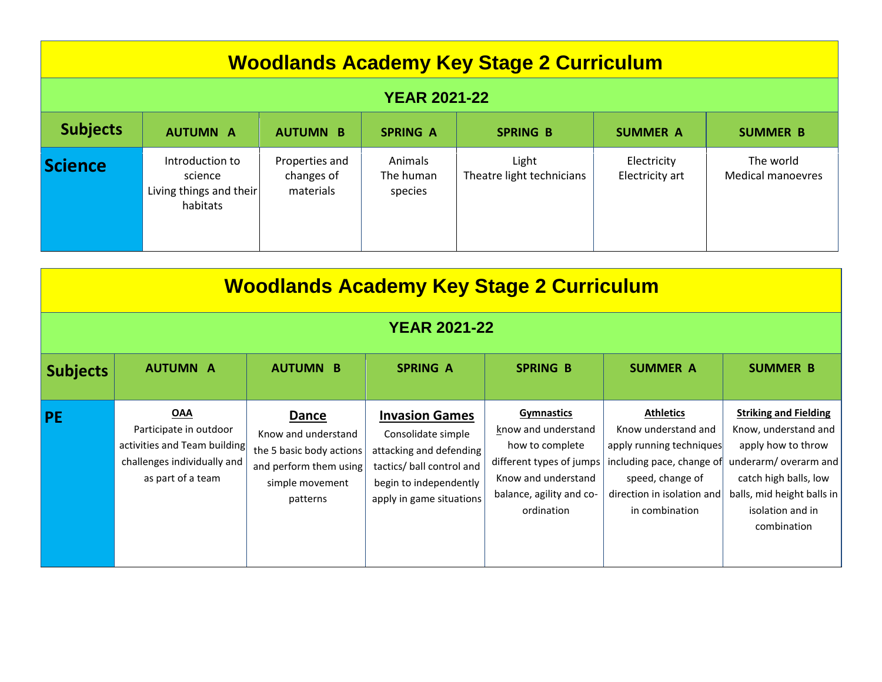| <b>Woodlands Academy Key Stage 2 Curriculum</b> |                                                                   |                                           |                                 |                                    |                                |                                       |
|-------------------------------------------------|-------------------------------------------------------------------|-------------------------------------------|---------------------------------|------------------------------------|--------------------------------|---------------------------------------|
| <b>YEAR 2021-22</b>                             |                                                                   |                                           |                                 |                                    |                                |                                       |
| <b>Subjects</b>                                 | <b>AUTUMN A</b>                                                   | <b>AUTUMN B</b>                           | <b>SPRING A</b>                 | <b>SPRING B</b>                    | <b>SUMMER A</b>                | <b>SUMMER B</b>                       |
| Science                                         | Introduction to<br>science<br>Living things and their<br>habitats | Properties and<br>changes of<br>materials | Animals<br>The human<br>species | Light<br>Theatre light technicians | Electricity<br>Electricity art | The world<br><b>Medical manoevres</b> |

| <b>Woodlands Academy Key Stage 2 Curriculum</b> |                                                                                                                          |                                                                                                                   |                                                                                                                                                           |                                                                                                                                                          |                                                                                                                                                                      |                                                                                                                                                                                              |
|-------------------------------------------------|--------------------------------------------------------------------------------------------------------------------------|-------------------------------------------------------------------------------------------------------------------|-----------------------------------------------------------------------------------------------------------------------------------------------------------|----------------------------------------------------------------------------------------------------------------------------------------------------------|----------------------------------------------------------------------------------------------------------------------------------------------------------------------|----------------------------------------------------------------------------------------------------------------------------------------------------------------------------------------------|
| <b>YEAR 2021-22</b>                             |                                                                                                                          |                                                                                                                   |                                                                                                                                                           |                                                                                                                                                          |                                                                                                                                                                      |                                                                                                                                                                                              |
| <b>Subjects</b>                                 | <b>AUTUMN A</b>                                                                                                          | <b>AUTUMN B</b>                                                                                                   | <b>SPRING A</b>                                                                                                                                           | <b>SPRING B</b>                                                                                                                                          | <b>SUMMER A</b>                                                                                                                                                      | <b>SUMMER B</b>                                                                                                                                                                              |
| <b>PE</b>                                       | <b>OAA</b><br>Participate in outdoor<br>activities and Team building<br>challenges individually and<br>as part of a team | Dance<br>Know and understand<br>the 5 basic body actions<br>and perform them using<br>simple movement<br>patterns | <b>Invasion Games</b><br>Consolidate simple<br>attacking and defending<br>tactics/ ball control and<br>begin to independently<br>apply in game situations | <b>Gymnastics</b><br>know and understand<br>how to complete<br>different types of jumps<br>Know and understand<br>balance, agility and co-<br>ordination | <b>Athletics</b><br>Know understand and<br>apply running techniques<br>including pace, change of<br>speed, change of<br>direction in isolation and<br>in combination | <b>Striking and Fielding</b><br>Know, understand and<br>apply how to throw<br>underarm/overarm and<br>catch high balls, low<br>balls, mid height balls in<br>isolation and in<br>combination |